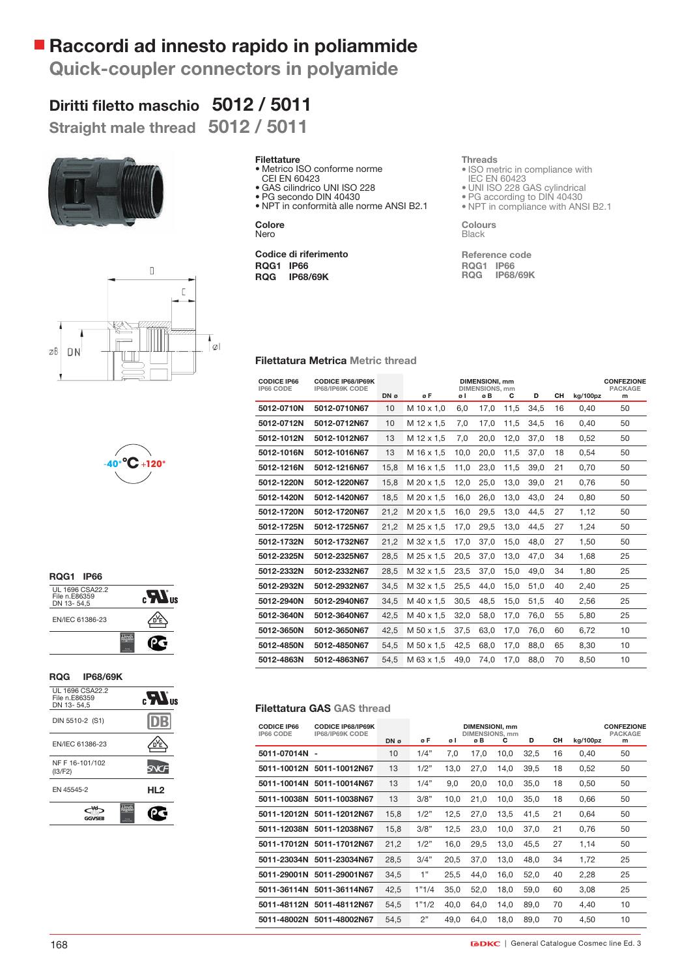## **Raccordi ad innesto rapido in poliammide**

**Quick-coupler connectors in polyamide**

# Diritti filetto maschio 5012 / 5011

**Straight male thread 5012 / 5011**







| <b>ROG1 IP66</b>                               |  |
|------------------------------------------------|--|
| UL 1696 CSA22.2<br>File n.E86359<br>DN 13-54.5 |  |
| EN/IEC 61386-23                                |  |
|                                                |  |

#### **RQG IP68/69K**

| UL 1696 CSA22.2<br>File n.E86359<br>DN 13-54,5 | $_{\rm eff}$ $\boldsymbol{H}_{\rm s}$ |
|------------------------------------------------|---------------------------------------|
| DIN 5510-2 (S1)                                |                                       |
| EN/IEC 61386-23                                |                                       |
| NF F 16-101/102<br>(13/F2)                     |                                       |
| EN 45545-2                                     | HL <sub>2</sub>                       |
| GGVSFR                                         |                                       |

#### **Filettature**

- Metrico ISO conforme norme
- CEI EN 60423
- GAS cilindrico UNI ISO 228 • PG secondo DIN 40430
- NPT in conformità alle norme ANSI B2.1

**Colore** Nero

**Codice di riferimento RQG1 IP66 RQG IP68/69K**

#### **Threads**

- ISO metric in compliance with IEC EN 60423
- UNI ISO 228 GAS cylindrical
- PG according to DIN 40430
- NPT in compliance with ANSI B2.1

**Colours Black** 

**Reference code RQG1 IP66 RQG IP68/69K**

#### **Filettatura Metrica Metric thread**

| <b>CODICE IP66</b><br>IP66 CODE | <b>CODICE IP68/IP69K</b><br>IP68/IP69K CODE |      | <b>DIMENSIONI, mm</b><br><b>DIMENSIONS, mm</b> |      |      |      |      |    |          | <b>CONFEZIONE</b><br><b>PACKAGE</b> |
|---------------------------------|---------------------------------------------|------|------------------------------------------------|------|------|------|------|----|----------|-------------------------------------|
|                                 |                                             | DN ø | øF                                             | øΙ   | øB   | С    | D    | CH | ka/100pz | m                                   |
| 5012-0710N                      | 5012-0710N67                                | 10   | M 10 x 1,0                                     | 6.0  | 17,0 | 11,5 | 34,5 | 16 | 0,40     | 50                                  |
| 5012-0712N                      | 5012-0712N67                                | 10   | M 12 x 1.5                                     | 7.0  | 17.0 | 11.5 | 34,5 | 16 | 0.40     | 50                                  |
| 5012-1012N                      | 5012-1012N67                                | 13   | M 12 x 1.5                                     | 7.0  | 20.0 | 12,0 | 37.0 | 18 | 0.52     | 50                                  |
| 5012-1016N                      | 5012-1016N67                                | 13   | M 16 x 1.5                                     | 10,0 | 20,0 | 11,5 | 37,0 | 18 | 0,54     | 50                                  |
| 5012-1216N                      | 5012-1216N67                                | 15.8 | M 16 x 1.5                                     | 11.0 | 23.0 | 11,5 | 39.0 | 21 | 0.70     | 50                                  |
| 5012-1220N                      | 5012-1220N67                                | 15.8 | M 20 x 1.5                                     | 12.0 | 25.0 | 13.0 | 39.0 | 21 | 0.76     | 50                                  |
| 5012-1420N                      | 5012-1420N67                                | 18,5 | M 20 x 1.5                                     | 16.0 | 26.0 | 13,0 | 43.0 | 24 | 0.80     | 50                                  |
| 5012-1720N                      | 5012-1720N67                                | 21,2 | M 20 x 1.5                                     | 16,0 | 29,5 | 13,0 | 44,5 | 27 | 1,12     | 50                                  |
| 5012-1725N                      | 5012-1725N67                                | 21.2 | M 25 x 1.5                                     | 17.0 | 29.5 | 13.0 | 44.5 | 27 | 1,24     | 50                                  |
| 5012-1732N                      | 5012-1732N67                                | 21.2 | M 32 x 1.5                                     | 17.0 | 37.0 | 15.0 | 48.0 | 27 | 1.50     | 50                                  |
| 5012-2325N                      | 5012-2325N67                                | 28.5 | M 25 x 1.5                                     | 20.5 | 37.0 | 13,0 | 47.0 | 34 | 1.68     | 25                                  |
| 5012-2332N                      | 5012-2332N67                                | 28.5 | M 32 x 1.5                                     | 23.5 | 37,0 | 15,0 | 49.0 | 34 | 1.80     | 25                                  |
| 5012-2932N                      | 5012-2932N67                                | 34.5 | M 32 x 1.5                                     | 25.5 | 44.0 | 15.0 | 51.0 | 40 | 2,40     | 25                                  |
| 5012-2940N                      | 5012-2940N67                                | 34.5 | M 40 x 1,5                                     | 30.5 | 48.5 | 15,0 | 51.5 | 40 | 2.56     | 25                                  |
| 5012-3640N                      | 5012-3640N67                                | 42,5 | M 40 x 1.5                                     | 32,0 | 58.0 | 17,0 | 76.0 | 55 | 5,80     | 25                                  |
| 5012-3650N                      | 5012-3650N67                                | 42,5 | M 50 x 1.5                                     | 37,5 | 63,0 | 17,0 | 76,0 | 60 | 6,72     | 10                                  |
| 5012-4850N                      | 5012-4850N67                                | 54,5 | M 50 x 1,5                                     | 42.5 | 68.0 | 17,0 | 88.0 | 65 | 8.30     | 10                                  |
| 5012-4863N                      | 5012-4863N67                                | 54.5 | M 63 x 1.5                                     | 49.0 | 74.0 | 17.0 | 88.0 | 70 | 8.50     | 10                                  |

#### **Filettatura GAS GAS thread**

| <b>CODICE IP66</b><br>IP66 CODE | <b>CODICE IP68/IP69K</b><br>IP68/IP69K CODE | DN ø | øΕ    | øΙ   | <b>DIMENSIONI, mm</b><br><b>DIMENSIONS, mm</b><br>øΒ | С    | D    | CН | kg/100pz | <b>CONFEZIONE</b><br><b>PACKAGE</b><br>m |
|---------------------------------|---------------------------------------------|------|-------|------|------------------------------------------------------|------|------|----|----------|------------------------------------------|
| 5011-07014N                     | $\overline{\phantom{0}}$                    | 10   | 1/4"  | 7,0  | 17.0                                                 | 10.0 | 32.5 | 16 | 0.40     | 50                                       |
|                                 | 5011-10012N 5011-10012N67                   | 13   | 1/2"  | 13.0 | 27.0                                                 | 14.0 | 39.5 | 18 | 0,52     | 50                                       |
|                                 | 5011-10014N 5011-10014N67                   | 13   | 1/4"  | 9,0  | 20.0                                                 | 10.0 | 35.0 | 18 | 0.50     | 50                                       |
|                                 | 5011-10038N 5011-10038N67                   | 13   | 3/8"  | 10,0 | 21,0                                                 | 10,0 | 35,0 | 18 | 0,66     | 50                                       |
| 5011-12012N                     | 5011-12012N67                               | 15,8 | 1/2"  | 12,5 | 27.0                                                 | 13.5 | 41.5 | 21 | 0.64     | 50                                       |
|                                 | 5011-12038N 5011-12038N67                   | 15,8 | 3/8"  | 12,5 | 23,0                                                 | 10.0 | 37.0 | 21 | 0,76     | 50                                       |
|                                 | 5011-17012N 5011-17012N67                   | 21,2 | 1/2"  | 16,0 | 29,5                                                 | 13,0 | 45,5 | 27 | 1,14     | 50                                       |
|                                 | 5011-23034N 5011-23034N67                   | 28,5 | 3/4"  | 20,5 | 37,0                                                 | 13,0 | 48,0 | 34 | 1,72     | 25                                       |
| 5011-29001N                     | 5011-29001N67                               | 34.5 | 1"    | 25.5 | 44,0                                                 | 16.0 | 52.0 | 40 | 2,28     | 25                                       |
|                                 | 5011-36114N 5011-36114N67                   | 42,5 | 1"1/4 | 35.0 | 52,0                                                 | 18.0 | 59.0 | 60 | 3,08     | 25                                       |
|                                 | 5011-48112N 5011-48112N67                   | 54,5 | 1"1/2 | 40,0 | 64,0                                                 | 14,0 | 89.0 | 70 | 4,40     | 10                                       |
|                                 | 5011-48002N 5011-48002N67                   | 54.5 | 2"    | 49.0 | 64,0                                                 | 18.0 | 89.0 | 70 | 4.50     | 10                                       |